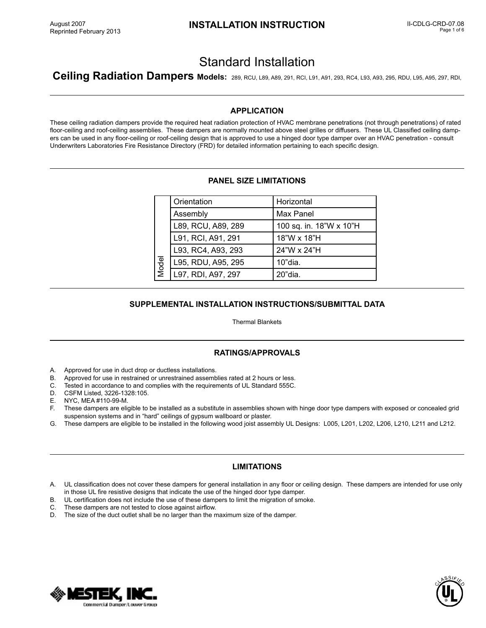# Standard Installation

**Ceiling Radiation Dampers Models:** 289, RCU, L89, A89, 291, RCI, L91, A91, 293, RC4, L93, A93, 295, RDU, L95, A95, 297, RDI,

# **APPLICATION**

These ceiling radiation dampers provide the required heat radiation protection of HVAC membrane penetrations (not through penetrations) of rated floor-ceiling and roof-ceiling assemblies. These dampers are normally mounted above steel grilles or diffusers. These UL Classified ceiling dampers can be used in any floor-ceiling or roof-ceiling design that is approved to use a hinged door type damper over an HVAC penetration - consult Underwriters Laboratories Fire Resistance Directory (FRD) for detailed information pertaining to each specific design.

# **PANEL SIZE LIMITATIONS**

| Model | Orientation        | Horizontal              |
|-------|--------------------|-------------------------|
|       | Assembly           | Max Panel               |
|       | L89, RCU, A89, 289 | 100 sq. in. 18"W x 10"H |
|       | L91, RCI, A91, 291 | 18"W x 18"H             |
|       | L93, RC4, A93, 293 | 24"W x 24"H             |
|       | L95, RDU, A95, 295 | 10"dia.                 |
|       | L97, RDI, A97, 297 | 20"dia.                 |

# **SUPPLEMENTAL INSTALLATION INSTRUCTIONS/SUBMITTAL DATA**

Thermal Blankets

# **RATINGS/APPROVALS**

- A. Approved for use in duct drop or ductless installations.<br>B. Approved for use in restrained or unrestrained assemb
- Approved for use in restrained or unrestrained assemblies rated at 2 hours or less.
- C. Tested in accordance to and complies with the requirements of UL Standard 555C.
- D. CSFM Listed, 3226-1328:105.
- E. NYC, MEA #110-99-M.
- F. These dampers are eligible to be installed as a substitute in assemblies shown with hinge door type dampers with exposed or concealed grid suspension systems and in "hard" ceilings of gypsum wallboard or plaster. **EXECT MANUATE CONSTRANT SET AND ASSET AND ASSET AND SUPPLEMENTAL INSTALLATION INSTRUCTIFF Thermal Blankkets**<br> **SUPPLEMENTAL INSTALLATION INSTRUCTIFF Thermal Blankkets**<br> **RATINGS/APPROVALS**<br> **RATINGS/APPROVALS**<br> **RATINGS/**
- G. These dampers are eligible to be installed in the following wood joist assembly UL Designs: L005, L201, L202, L206, L210, L211 and L212.

# **LIMITATIONS**

- A. UL classification does not cover these dampers for general installation in any floor or ceiling design. These dampers are intended for use only in those UL fire resistive designs that indicate the use of the hinged door type damper.
- B. UL certification does not include the use of these dampers to limit the migration of smoke.
- C. These dampers are not tested to close against airflow.
- 



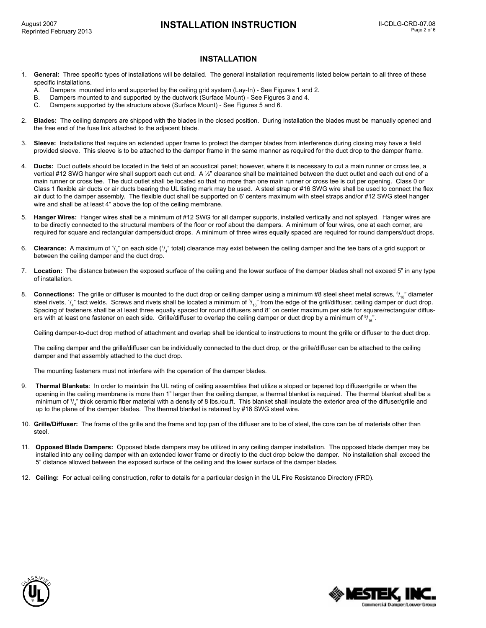# **INSTALLATION INSTRUCTION II-CDLG-CRD-07.08**

#### **INSTALLATION**

- 1. **General:** Three specific types of installations will be detailed. The general installation requirements listed below pertain to all three of these specific installations.
	- A. Dampers mounted into and supported by the ceiling grid system (Lay-In) See Figures 1 and 2.
	- B. Dampers mounted to and supported by the ductwork (Surface Mount) See Figures 3 and 4.
	- C. Dampers supported by the structure above (Surface Mount) See Figures 5 and 6.
- 2. **Blades:** The ceiling dampers are shipped with the blades in the closed position. During installation the blades must be manually opened and the free end of the fuse link attached to the adjacent blade.
- 3. **Sleeve:** Installations that require an extended upper frame to protect the damper blades from interference during closing may have a field provided sleeve. This sleeve is to be attached to the damper frame in the same manner as required for the duct drop to the damper frame.
- 4. **Ducts:** Duct outlets should be located in the field of an acoustical panel; however, where it is necessary to cut a main runner or cross tee, a vertical #12 SWG hanger wire shall support each cut end. A 1/2" clearance shall be maintained between the duct outlet and each cut end of a main runner or cross tee. The duct outlet shall be located so that no more than one main runner or cross tee is cut per opening. Class 0 or Class 1 flexible air ducts or air ducts bearing the UL listing mark may be used. A steel strap or #16 SWG wire shall be used to connect the flex air duct to the damper assembly. The flexible duct shall be supported on 6' centers maximum with steel straps and/or #12 SWG steel hanger wire and shall be at least 4" above the top of the ceiling membrane.
- 5. **Hanger Wires:** Hanger wires shall be a minimum of #12 SWG for all damper supports, installed vertically and not splayed. Hanger wires are to be directly connected to the structural members of the floor or roof about the dampers. A minimum of four wires, one at each corner, are required for square and rectangular dampers/duct drops. A minimum of three wires equally spaced are required for round dampers/duct drops.
- 6. **Clearance:** A maximum of 1/<sub>8</sub>" on each side (1/<sub>4</sub>" total) clearance may exist between the ceiling damper and the tee bars of a grid support or between the ceiling damper and the duct drop.
- 7. **Location:** The distance between the exposed surface of the ceiling and the lower surface of the damper blades shall not exceed 5" in any type of installation.
- 8. Connections: The grille or diffuser is mounted to the duct drop or ceiling damper using a minimum #8 steel sheet metal screws,  $^3\prime_{16}$  diameter steel rivets,  $\frac{1}{4}$ " tact welds. Screws and rivets shall be located a minimum of  $\frac{3}{16}$ " from the edge of the grill/diffuser, ceiling damper or duct drop. Spacing of fasteners shall be at least three equally spaced for round diffusers and 8" on center maximum per side for square/rectangular diffusers with at least one fastener on each side.  $\,$ Grille/diffuser to overlap the ceiling damper or duct drop by a minimum of  $^{9}/_{16}$ ".

Ceiling damper-to-duct drop method of attachment and overlap shall be identical to instructions to mount the grille or diffuser to the duct drop.

The ceiling damper and the grille/diffuser can be individually connected to the duct drop, or the grille/diffuser can be attached to the ceiling damper and that assembly attached to the duct drop.

The mounting fasteners must not interfere with the operation of the damper blades.

- 9. **Thermal Blankets**: In order to maintain the UL rating of ceiling assemblies that utilize a sloped or tapered top diffuser/grille or when the opening in the ceiling membrane is more than 1" larger than the ceiling damper, a thermal blanket is required. The thermal blanket shall be a minimum of  $\frac{1}{4}$ " thick ceramic fiber material with a density of 8 lbs./cu.ft. This blanket shall insulate the exterior area of the diffuser/grille and up to the plane of the damper blades. The thermal blanket is retained by #16 SWG steel wire.
- 10. **Grille/Diffuser:** The frame of the grille and the frame and top pan of the diffuser are to be of steel, the core can be of materials other than steel.
- 11. **Opposed Blade Dampers:** Opposed blade dampers may be utilized in any ceiling damper installation. The opposed blade damper may be installed into any ceiling damper with an extended lower frame or directly to the duct drop below the damper. No installation shall exceed the 5" distance allowed between the exposed surface of the ceiling and the lower surface of the damper blades.
- 12. **Ceiling:** For actual ceiling construction, refer to details for a particular design in the UL Fire Resistance Directory (FRD).



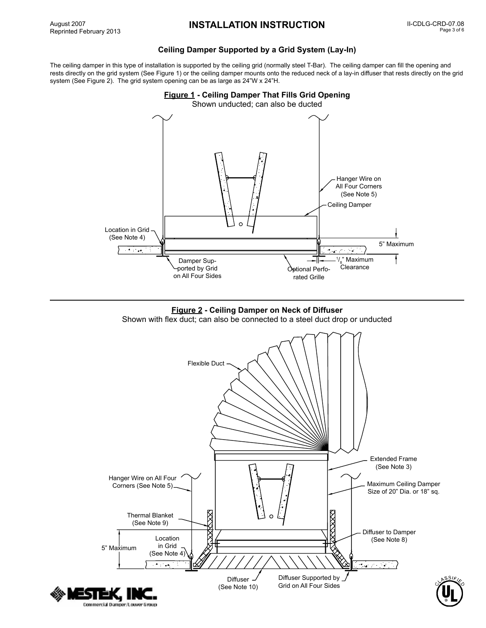# **Ceiling Damper Supported by a Grid System (Lay-In)**

The ceiling damper in this type of installation is supported by the ceiling grid (normally steel T-Bar). The ceiling damper can fill the opening and rests directly on the grid system (See Figure 1) or the ceiling damper mounts onto the reduced neck of a lay-in diffuser that rests directly on the grid system (See Figure 2). The grid system opening can be as large as 24"W x 24"H.





Shown with flex duct; can also be connected to a steel duct drop or unducted

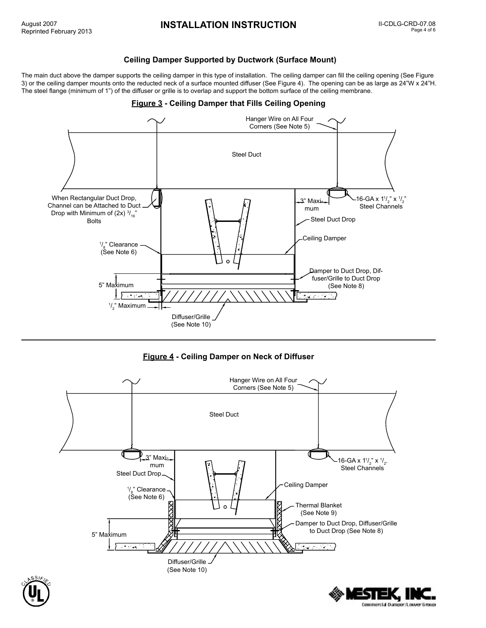SIEK. I Commercial Damper/Louver 6 roup

## **Ceiling Damper Supported by Ductwork (Surface Mount)**

The main duct above the damper supports the ceiling damper in this type of installation. The ceiling damper can fill the ceiling opening (See Figure 3) or the ceiling damper mounts onto the reducted neck of a surface mounted diffuser (See Figure 4). The opening can be as large as 24"W x 24"H. The steel flange (minimum of 1") of the diffuser or grille is to overlap and support the bottom surface of the ceiling membrane.

# Hanger Wire on All Four Corners (See Note 5) Steel Duct When Rectangular Duct Drop, 16-GA x  $1\frac{1}{2}$ " x  $\frac{1}{2}$ " 3" Maxi Channel can be Attached to Duct Steel Channels mum Drop with Minimum of (2x)  $\frac{3}{16}$ " Steel Duct Drop Bolts Ceiling Damper <sup>1</sup>/<sub>8</sub>" Clearance (See Note 6) Damper to Duct Drop, Diffuser/Grille to Duct Drop 5" Maximum (See Note 8) مد  $\frac{1}{2}$ " Maximum Diffuser/Grille (See Note 10)

# **Figure 3 - Ceiling Damper that Fills Ceiling Opening**





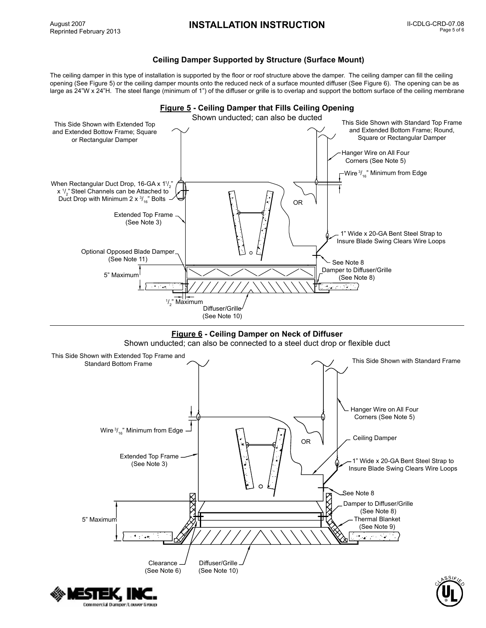Commercial Damper/Louver Group

# **Ceiling Damper Supported by Structure (Surface Mount)**

The ceiling damper in this type of installation is supported by the floor or roof structure above the damper. The ceiling damper can fill the ceiling opening (See Figure 5) or the ceiling damper mounts onto the reduced neck of a surface mounted diffuser (See Figure 6). The opening can be as large as 24"W x 24"H. The steel flange (minimum of 1") of the diffuser or grille is to overlap and support the bottom surface of the ceiling membrane